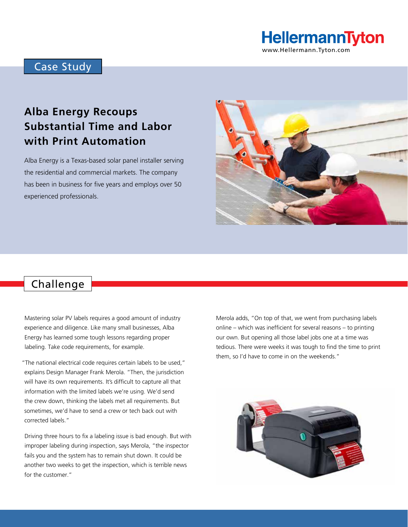# HellermannTyton

www.Hellermann.Tyton.com

### Case Study

## **Alba Energy Recoups Substantial Time and Labor with Print Automation**

Alba Energy is a Texas-based solar panel installer serving the residential and commercial markets. The company has been in business for five years and employs over 50 experienced professionals.



### Challenge

Mastering solar PV labels requires a good amount of industry experience and diligence. Like many small businesses, Alba Energy has learned some tough lessons regarding proper labeling. Take code requirements, for example.

"The national electrical code requires certain labels to be used," explains Design Manager Frank Merola. "Then, the jurisdiction will have its own requirements. It's difficult to capture all that information with the limited labels we're using. We'd send the crew down, thinking the labels met all requirements. But sometimes, we'd have to send a crew or tech back out with corrected labels."

Driving three hours to fix a labeling issue is bad enough. But with improper labeling during inspection, says Merola, "the inspector fails you and the system has to remain shut down. It could be another two weeks to get the inspection, which is terrible news for the customer."

Merola adds, "On top of that, we went from purchasing labels online – which was inefficient for several reasons – to printing our own. But opening all those label jobs one at a time was tedious. There were weeks it was tough to find the time to print them, so I'd have to come in on the weekends."